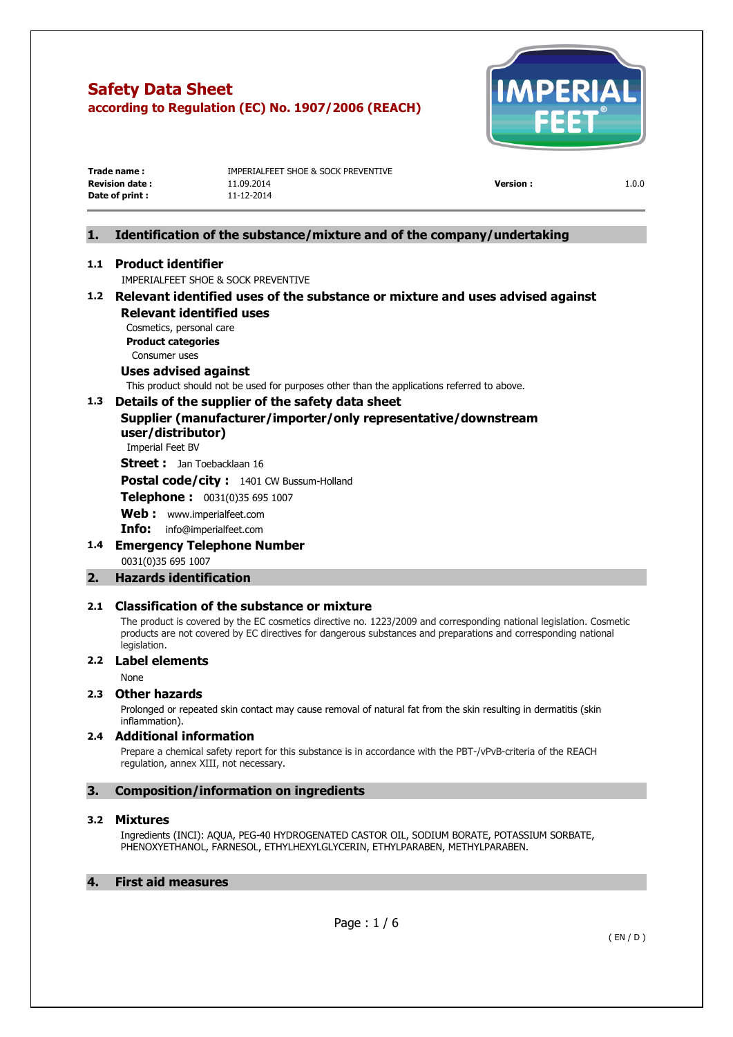

| Trade name:           | IMPERIALFEET SHOE & SOCK PREVENTIVE |                 |       |
|-----------------------|-------------------------------------|-----------------|-------|
| <b>Revision date:</b> | 11.09.2014                          | <b>Version:</b> | 1.0.0 |
| Date of print :       | 11-12-2014                          |                 |       |

# **1. Identification of the substance/mixture and of the company/undertaking**

# **1.1 Product identifier**

IMPERIALFEET SHOE & SOCK PREVENTIVE

# **1.2 Relevant identified uses of the substance or mixture and uses advised against Relevant identified uses**

Cosmetics, personal care **Product categories**  Consumer uses

# **Uses advised against**

This product should not be used for purposes other than the applications referred to above.

# **1.3 Details of the supplier of the safety data sheet**

**Supplier (manufacturer/importer/only representative/downstream user/distributor)** 

Imperial Feet BV

**Street :** Jan Toebacklaan 16

**Postal code/city :** 1401 CW Bussum-Holland

**Telephone :** 0031(0)35 695 1007

**Web :** [www.imperialfeet.com](http://www.imperialfeet.com/)

**Info:** [info@imperialfeet.com](mailto:info@imperialfeet.com)

**1.4 Emergency Telephone Number**  0031(0)35 695 1007

# **2. Hazards identification**

#### **2.1 Classification of the substance or mixture**

The product is covered by the EC cosmetics directive no. 1223/2009 and corresponding national legislation. Cosmetic products are not covered by EC directives for dangerous substances and preparations and corresponding national legislation.

# **2.2 Label elements**

None

#### **2.3 Other hazards**

Prolonged or repeated skin contact may cause removal of natural fat from the skin resulting in dermatitis (skin inflammation).

#### **2.4 Additional information**

Prepare a chemical safety report for this substance is in accordance with the PBT-/vPvB-criteria of the REACH regulation, annex XIII, not necessary.

# **3. Composition/information on ingredients**

#### **3.2 Mixtures**

Ingredients (INCI): AQUA, PEG-40 HYDROGENATED CASTOR OIL, SODIUM BORATE, POTASSIUM SORBATE, PHENOXYETHANOL, FARNESOL, ETHYLHEXYLGLYCERIN, ETHYLPARABEN, METHYLPARABEN.

# **4. First aid measures**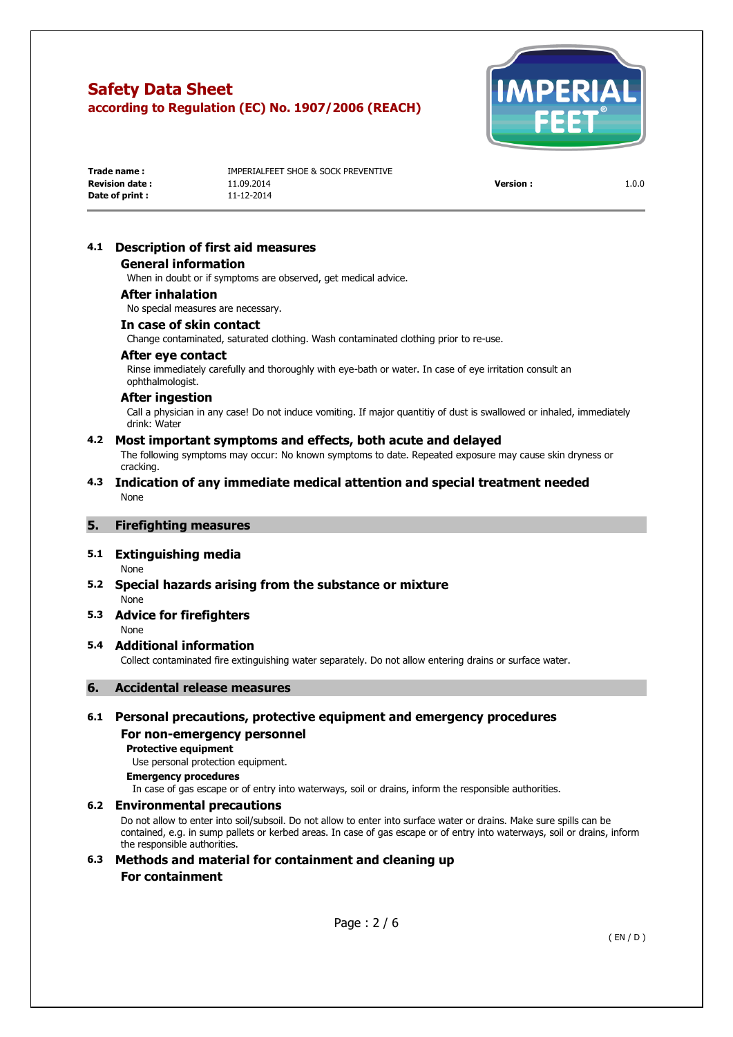

| Trade name :           | IMPERIALFEET SHOE & SOCK PREVENTIVE |                 |       |
|------------------------|-------------------------------------|-----------------|-------|
| <b>Revision date :</b> | 11.09.2014                          | <b>Version:</b> | 1.0.0 |
| Date of print :        | 11-12-2014                          |                 |       |

# **4.1 Description of first aid measures**

#### **General information**

When in doubt or if symptoms are observed, get medical advice.

#### **After inhalation**

No special measures are necessary.

#### **In case of skin contact**

Change contaminated, saturated clothing. Wash contaminated clothing prior to re-use.

#### **After eye contact**

Rinse immediately carefully and thoroughly with eye-bath or water. In case of eye irritation consult an ophthalmologist.

#### **After ingestion**

Call a physician in any case! Do not induce vomiting. If major quantitiy of dust is swallowed or inhaled, immediately drink: Water

#### **4.2 Most important symptoms and effects, both acute and delayed**

The following symptoms may occur: No known symptoms to date. Repeated exposure may cause skin dryness or cracking.

#### **4.3 Indication of any immediate medical attention and special treatment needed**  None

# **5. Firefighting measures**

# **5.1 Extinguishing media**

None

- **5.2 Special hazards arising from the substance or mixture**  None
- **5.3 Advice for firefighters**  None

#### **5.4 Additional information**

Collect contaminated fire extinguishing water separately. Do not allow entering drains or surface water.

# **6. Accidental release measures**

# **6.1 Personal precautions, protective equipment and emergency procedures For non-emergency personnel**

**Protective equipment** 

Use personal protection equipment.

#### **Emergency procedures**

In case of gas escape or of entry into waterways, soil or drains, inform the responsible authorities.

#### **6.2 Environmental precautions**

Do not allow to enter into soil/subsoil. Do not allow to enter into surface water or drains. Make sure spills can be contained, e.g. in sump pallets or kerbed areas. In case of gas escape or of entry into waterways, soil or drains, inform the responsible authorities.

**6.3 Methods and material for containment and cleaning up For containment**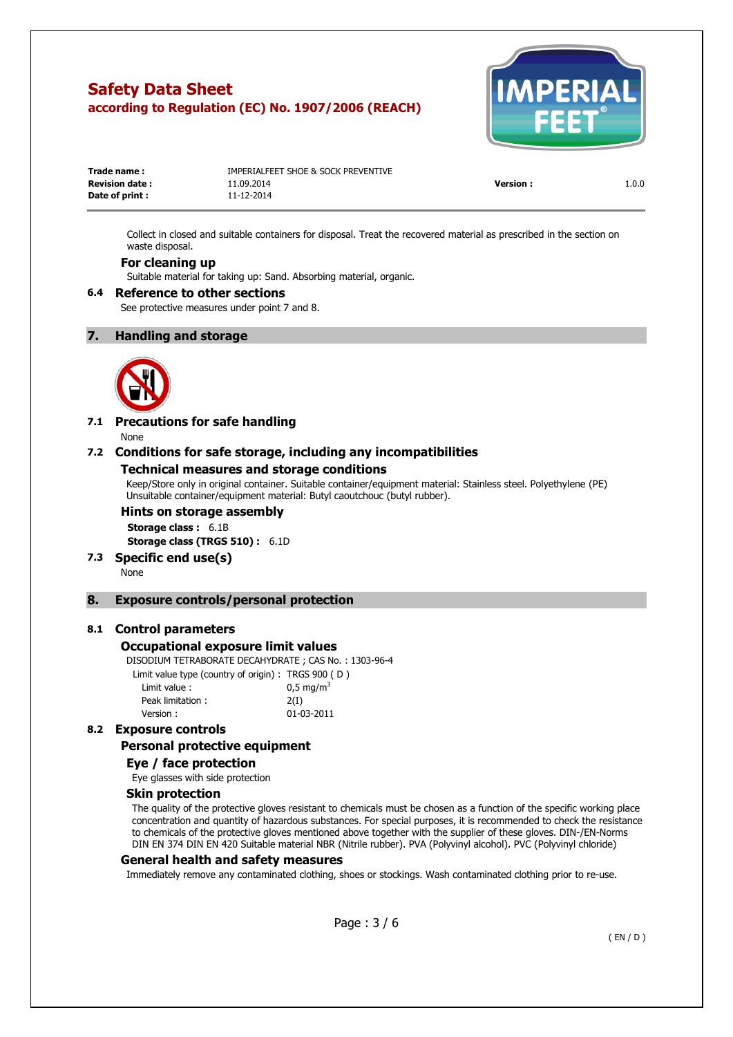

| Trade name:           | IMPERIALFEET SHOE & SOCK PREVENTIVE |                 |       |
|-----------------------|-------------------------------------|-----------------|-------|
| <b>Revision date:</b> | 11.09.2014                          | <b>Version:</b> | 1.0.0 |
| Date of print :       | 11-12-2014                          |                 |       |

Collect in closed and suitable containers for disposal. Treat the recovered material as prescribed in the section on waste disposal.

# **For cleaning up**

Suitable material for taking up: Sand. Absorbing material, organic.

#### **6.4 Reference to other sections**

See protective measures under point 7 and 8.

#### **7. Handling and storage**



#### **7.1 Precautions for safe handling**  None

# **7.2 Conditions for safe storage, including any incompatibilities**

#### **Technical measures and storage conditions**

Keep/Store only in original container. Suitable container/equipment material: Stainless steel. Polyethylene (PE) Unsuitable container/equipment material: Butyl caoutchouc (butyl rubber).

#### **Hints on storage assembly**

**Storage class :** 6.1B **Storage class (TRGS 510) :** 6.1D

**7.3 Specific end use(s)** 

None

#### **8. Exposure controls/personal protection**

#### **8.1 Control parameters**

#### **Occupational exposure limit values**

DISODIUM TETRABORATE DECAHYDRATE ; CAS No. : 1303-96-4

| Limit value type (country of origin): TRGS 900 (D) |                      |
|----------------------------------------------------|----------------------|
| Limit value:                                       | $0.5 \text{ mg/m}^3$ |
| Peak limitation:                                   | 2(I)                 |
| Version:                                           | 01-03-2011           |
|                                                    |                      |

# **8.2 Exposure controls**

# **Personal protective equipment**

# **Eye / face protection**

Eye glasses with side protection

#### **Skin protection**

The quality of the protective gloves resistant to chemicals must be chosen as a function of the specific working place concentration and quantity of hazardous substances. For special purposes, it is recommended to check the resistance to chemicals of the protective gloves mentioned above together with the supplier of these gloves. DIN-/EN-Norms DIN EN 374 DIN EN 420 Suitable material NBR (Nitrile rubber). PVA (Polyvinyl alcohol). PVC (Polyvinyl chloride)

#### **General health and safety measures**

Immediately remove any contaminated clothing, shoes or stockings. Wash contaminated clothing prior to re-use.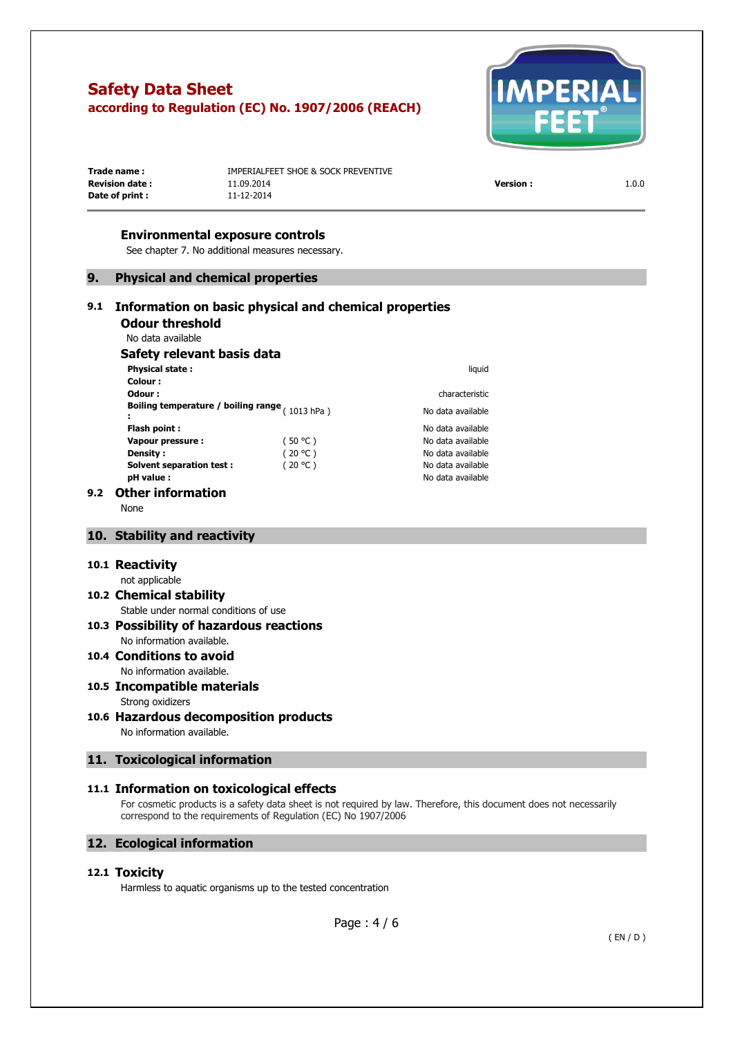

| Trade name :           | IMPERIALFEET SHOE & SOCK PREVENTIVE |                 |       |
|------------------------|-------------------------------------|-----------------|-------|
| <b>Revision date :</b> | 11.09.2014                          | <b>Version:</b> | 1.0.0 |
| Date of print :        | 11-12-2014                          |                 |       |
|                        |                                     |                 |       |

#### **Environmental exposure controls**

See chapter 7. No additional measures necessary.

# **9. Physical and chemical properties**

# **9.1 Information on basic physical and chemical properties Odour threshold**

No data available

# **Safety relevant basis data**

| <b>Physical state:</b>                           |         | liquid            |
|--------------------------------------------------|---------|-------------------|
| Colour:                                          |         |                   |
| Odour :                                          |         | characteristic    |
| Boiling temperature / boiling range $(1013 hPa)$ |         | No data available |
| Flash point :                                    |         | No data available |
| Vapour pressure:                                 | (50 °C) | No data available |
| <b>Density:</b>                                  | (20 °C) | No data available |
| <b>Solvent separation test:</b>                  | (20 °C) | No data available |
| pH value :                                       |         | No data available |

#### **9.2 Other information**

None

#### **10. Stability and reactivity**

#### **10.1 Reactivity**

#### not applicable

# **10.2 Chemical stability**

# Stable under normal conditions of use

# **10.3 Possibility of hazardous reactions**  No information available.

#### **10.4 Conditions to avoid**  No information available.

- **10.5 Incompatible materials**  Strong oxidizers
- **10.6 Hazardous decomposition products**  No information available.

# **11. Toxicological information**

#### **11.1 Information on toxicological effects**

For cosmetic products is a safety data sheet is not required by law. Therefore, this document does not necessarily correspond to the requirements of Regulation (EC) No 1907/2006

# **12. Ecological information**

# **12.1 Toxicity**

Harmless to aquatic organisms up to the tested concentration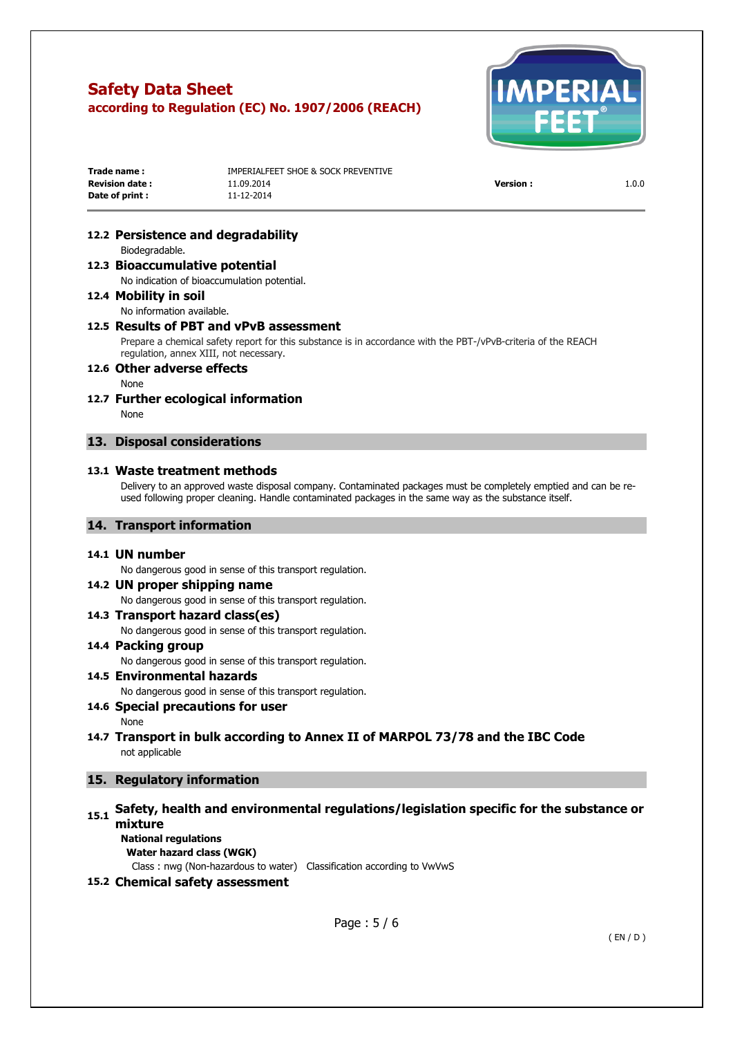

| Trade name:           | IMPERIALFEET SHOE & SOCK PREVENTIVE |                 |       |
|-----------------------|-------------------------------------|-----------------|-------|
| <b>Revision date:</b> | 11.09.2014                          | <b>Version:</b> | 1.0.0 |
| Date of print :       | 11-12-2014                          |                 |       |

## **12.2 Persistence and degradability**

Biodegradable.

# **12.3 Bioaccumulative potential**

No indication of bioaccumulation potential.

## **12.4 Mobility in soil**

No information available.

#### **12.5 Results of PBT and vPvB assessment**

Prepare a chemical safety report for this substance is in accordance with the PBT-/vPvB-criteria of the REACH regulation, annex XIII, not necessary.

## **12.6 Other adverse effects**

None

#### **12.7 Further ecological information**  None

#### **13. Disposal considerations**

#### **13.1 Waste treatment methods**

Delivery to an approved waste disposal company. Contaminated packages must be completely emptied and can be reused following proper cleaning. Handle contaminated packages in the same way as the substance itself.

#### **14. Transport information**

#### **14.1 UN number**

No dangerous good in sense of this transport regulation.

# **14.2 UN proper shipping name**

No dangerous good in sense of this transport regulation.

#### **14.3 Transport hazard class(es)**  No dangerous good in sense of this transport regulation.

# **14.4 Packing group**

No dangerous good in sense of this transport regulation.

#### **14.5 Environmental hazards**

No dangerous good in sense of this transport regulation.

# **14.6 Special precautions for user**

None

# **14.7 Transport in bulk according to Annex II of MARPOL 73/78 and the IBC Code**  not applicable

# **15. Regulatory information**

# **15.1 Safety, health and environmental regulations/legislation specific for the substance or mixture**

**National regulations Water hazard class (WGK)** 

Class : nwg (Non-hazardous to water) Classification according to VwVwS

# **15.2 Chemical safety assessment**